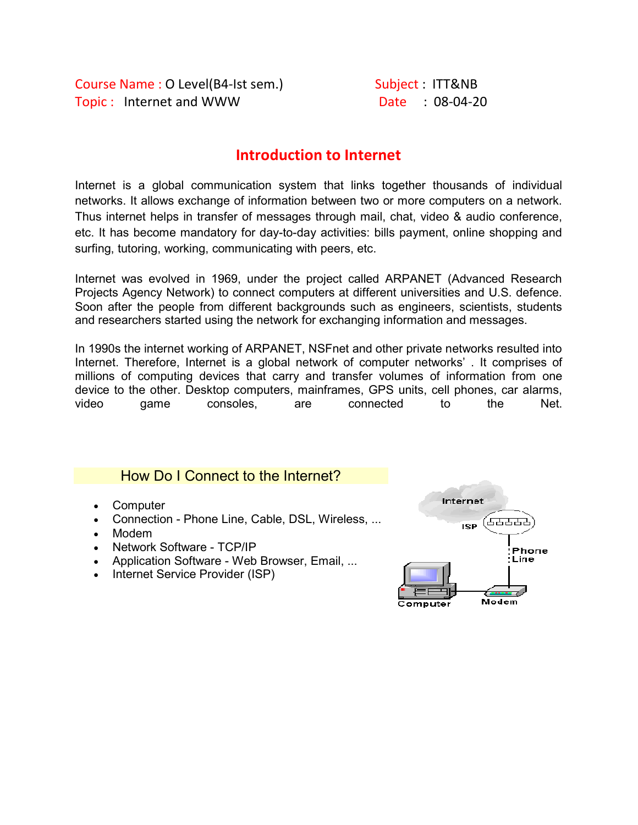Course Name : O Level(B4-Ist sem.) Subject : ITT&NB Topic: Internet and WWW Date : 08-04-20

### Introduction to Internet

Internet is a global communication system that links together thousands of individual networks. It allows exchange of information between two or more computers on a network. Thus internet helps in transfer of messages through mail, chat, video & audio conference, etc. It has become mandatory for day-to-day activities: bills payment, online shopping and surfing, tutoring, working, communicating with peers, etc.

Internet was evolved in 1969, under the project called ARPANET (Advanced Research Projects Agency Network) to connect computers at different universities and U.S. defence. Soon after the people from different backgrounds such as engineers, scientists, students and researchers started using the network for exchanging information and messages.

In 1990s the internet working of ARPANET, NSFnet and other private networks resulted into Internet. Therefore, Internet is a global network of computer networks' . It comprises of millions of computing devices that carry and transfer volumes of information from one device to the other. Desktop computers, mainframes, GPS units, cell phones, car alarms, video game consoles, are connected to the Net.

### How Do I Connect to the Internet?

- Computer
- Connection Phone Line, Cable, DSL, Wireless, ...
- Modem
- Network Software TCP/IP
- Application Software Web Browser, Email, ...
- Internet Service Provider (ISP)

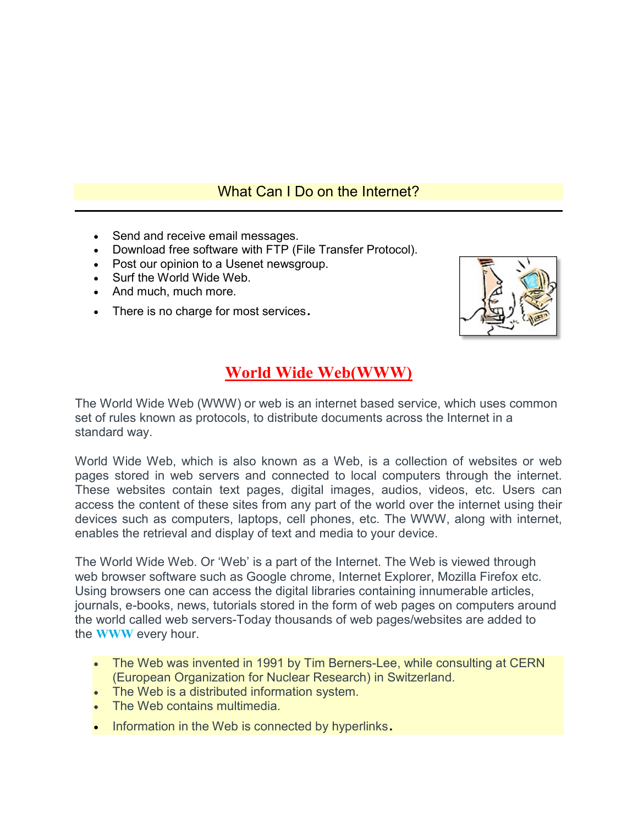## What Can I Do on the Internet?

- Send and receive email messages.
- Download free software with FTP (File Transfer Protocol).
- Post our opinion to a Usenet newsgroup.
- Surf the World Wide Web.
- And much, much more.
- There is no charge for most services.



# World Wide Web(WWW)

The World Wide Web (WWW) or web is an internet based service, which uses common set of rules known as protocols, to distribute documents across the Internet in a standard way.

World Wide Web, which is also known as a Web, is a collection of websites or web pages stored in web servers and connected to local computers through the internet. These websites contain text pages, digital images, audios, videos, etc. Users can access the content of these sites from any part of the world over the internet using their devices such as computers, laptops, cell phones, etc. The WWW, along with internet, enables the retrieval and display of text and media to your device.

The World Wide Web. Or 'Web' is a part of the Internet. The Web is viewed through web browser software such as Google chrome, Internet Explorer, Mozilla Firefox etc. Using browsers one can access the digital libraries containing innumerable articles, journals, e-books, news, tutorials stored in the form of web pages on computers around the world called web servers-Today thousands of web pages/websites are added to the WWW every hour.

- The Web was invented in 1991 by Tim Berners-Lee, while consulting at CERN (European Organization for Nuclear Research) in Switzerland.
- The Web is a distributed information system.
- The Web contains multimedia.
- Information in the Web is connected by hyperlinks.